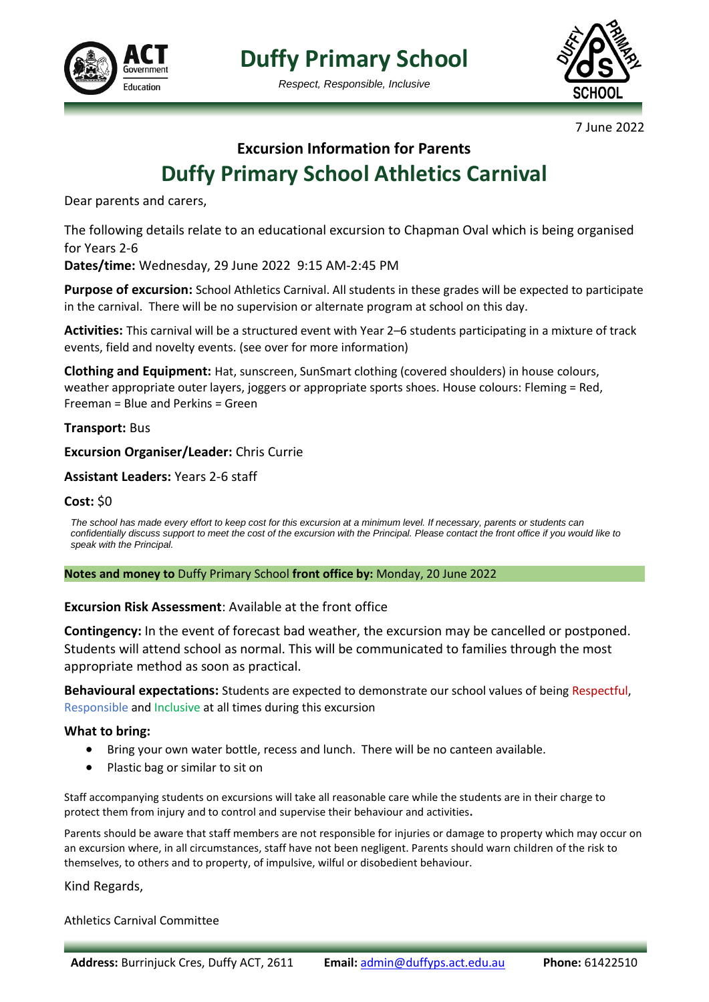

**Duffy Primary School**

*Respect, Responsible, Inclusive*



7 June 2022

# **Excursion Information for Parents Duffy Primary School Athletics Carnival**

Dear parents and carers,

The following details relate to an educational excursion to Chapman Oval which is being organised for Years 2-6

**Dates/time:** Wednesday, 29 June 2022 9:15 AM-2:45 PM

**Purpose of excursion:** School Athletics Carnival. All students in these grades will be expected to participate in the carnival. There will be no supervision or alternate program at school on this day.

**Activities:** This carnival will be a structured event with Year 2–6 students participating in a mixture of track events, field and novelty events. (see over for more information)

**Clothing and Equipment:** Hat, sunscreen, SunSmart clothing (covered shoulders) in house colours, weather appropriate outer layers, joggers or appropriate sports shoes. House colours: Fleming = Red, Freeman = Blue and Perkins = Green

**Transport:** Bus

### **Excursion Organiser/Leader:** Chris Currie

### **Assistant Leaders:** Years 2-6 staff

#### **Cost:** \$0

*The school has made every effort to keep cost for this excursion at a minimum level. If necessary, parents or students can confidentially discuss support to meet the cost of the excursion with the Principal. Please contact the front office if you would like to speak with the Principal.*

#### **Notes and money to** Duffy Primary School **front office by:** Monday, 20 June 2022

#### **Excursion Risk Assessment**: Available at the front office

**Contingency:** In the event of forecast bad weather, the excursion may be cancelled or postponed. Students will attend school as normal. This will be communicated to families through the most appropriate method as soon as practical.

**Behavioural expectations:** Students are expected to demonstrate our school values of being Respectful, Responsible and Inclusive at all times during this excursion

#### **What to bring:**

- Bring your own water bottle, recess and lunch. There will be no canteen available.
- Plastic bag or similar to sit on

Staff accompanying students on excursions will take all reasonable care while the students are in their charge to protect them from injury and to control and supervise their behaviour and activities**.** 

Parents should be aware that staff members are not responsible for injuries or damage to property which may occur on an excursion where, in all circumstances, staff have not been negligent. Parents should warn children of the risk to themselves, to others and to property, of impulsive, wilful or disobedient behaviour.

#### Kind Regards,

Athletics Carnival Committee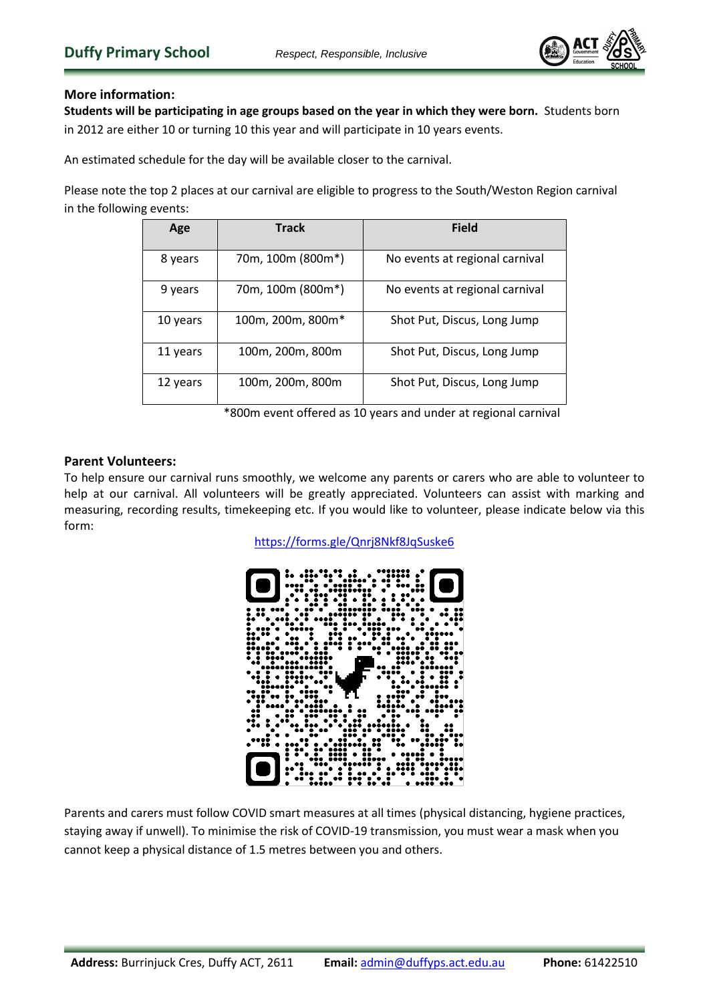

## **More information:**

**Students will be participating in age groups based on the year in which they were born.** Students born in 2012 are either 10 or turning 10 this year and will participate in 10 years events.

An estimated schedule for the day will be available closer to the carnival.

Please note the top 2 places at our carnival are eligible to progress to the South/Weston Region carnival in the following events:

| Age      | <b>Track</b>      | <b>Field</b>                   |  |  |
|----------|-------------------|--------------------------------|--|--|
| 8 years  | 70m, 100m (800m*) | No events at regional carnival |  |  |
| 9 years  | 70m, 100m (800m*) | No events at regional carnival |  |  |
| 10 years | 100m, 200m, 800m* | Shot Put, Discus, Long Jump    |  |  |
| 11 years | 100m, 200m, 800m  | Shot Put, Discus, Long Jump    |  |  |
| 12 years | 100m, 200m, 800m  | Shot Put, Discus, Long Jump    |  |  |

\*800m event offered as 10 years and under at regional carnival

### **Parent Volunteers:**

To help ensure our carnival runs smoothly, we welcome any parents or carers who are able to volunteer to help at our carnival. All volunteers will be greatly appreciated. Volunteers can assist with marking and measuring, recording results, timekeeping etc. If you would like to volunteer, please indicate below via this form:

<https://forms.gle/Qnrj8Nkf8JqSuske6>



Parents and carers must follow COVID smart measures at all times (physical distancing, hygiene practices, staying away if unwell). To minimise the risk of COVID-19 transmission, you must wear a mask when you cannot keep a physical distance of 1.5 metres between you and others.